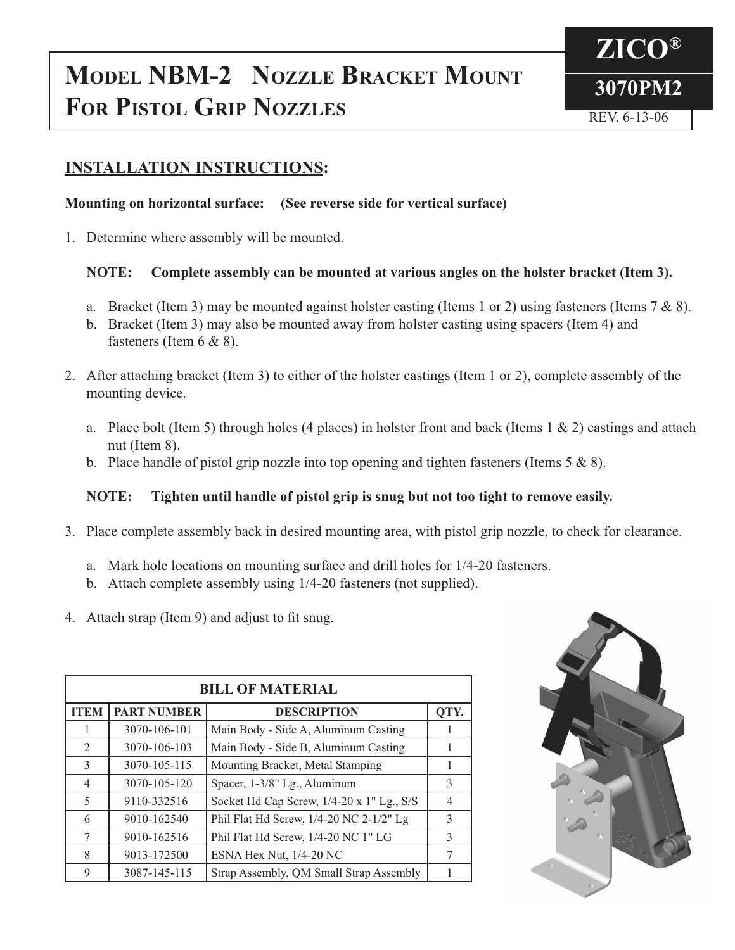# **MODEL NBM-2 NOZZLE BRACKET MOUNT** 3070PM2 **FOR PISTOL GRIP NOZZLES** REV. 6-13-06



## **INSTALLATION INSTRUCTIONS:**

### **Mounting on horizontal surface: (See reverse side for vertical surface)**

1. Determine where assembly will be mounted.

## **NOTE: Complete assembly can be mounted at various angles on the holster bracket (Item 3).**

- a. Bracket (Item 3) may be mounted against holster casting (Items 1 or 2) using fasteners (Items 7 & 8).
- b. Bracket (Item 3) may also be mounted away from holster casting using spacers (Item 4) and fasteners (Item 6 & 8).
- 2. After attaching bracket (Item 3) to either of the holster castings (Item 1 or 2), complete assembly of the mounting device.
	- a. Place bolt (Item 5) through holes (4 places) in holster front and back (Items 1 & 2) castings and attach nut (Item 8).
	- b. Place handle of pistol grip nozzle into top opening and tighten fasteners (Items  $5 \& 8$ ).

## **NOTE: Tighten until handle of pistol grip is snug but not too tight to remove easily.**

- 3. Place complete assembly back in desired mounting area, with pistol grip nozzle, to check for clearance.
	- a. Mark hole locations on mounting surface and drill holes for 1/4-20 fasteners.
	- b. Attach complete assembly using 1/4-20 fasteners (not supplied).
- 4. Attach strap (Item 9) and adjust to fit snug.

| <b>BILL OF MATERIAL</b> |                    |                                           |                |
|-------------------------|--------------------|-------------------------------------------|----------------|
| <b>ITEM</b>             | <b>PART NUMBER</b> | <b>DESCRIPTION</b>                        | QTY.           |
|                         | 3070-106-101       | Main Body - Side A, Aluminum Casting      |                |
| $\mathfrak{D}$          | 3070-106-103       | Main Body - Side B, Aluminum Casting      |                |
| $\mathcal{E}$           | 3070-105-115       | Mounting Bracket, Metal Stamping          |                |
| $\overline{4}$          | 3070-105-120       | Spacer, 1-3/8" Lg., Aluminum              | 3              |
| 5                       | 9110-332516        | Socket Hd Cap Screw, 1/4-20 x 1" Lg., S/S | $\overline{4}$ |
| 6                       | 9010-162540        | Phil Flat Hd Screw, 1/4-20 NC 2-1/2" Lg   | 3              |
| 7                       | 9010-162516        | Phil Flat Hd Screw, 1/4-20 NC 1" LG       | 3              |
| 8                       | 9013-172500        | ESNA Hex Nut, 1/4-20 NC                   | 7              |
| 9                       | 3087-145-115       | Strap Assembly, QM Small Strap Assembly   |                |